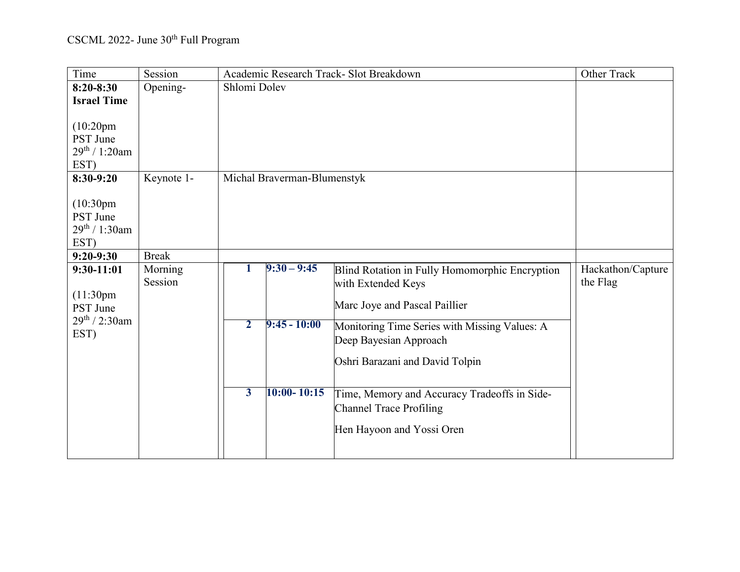| Time                                                                             | Session            | Academic Research Track- Slot Breakdown                                                                                                            | Other Track                   |
|----------------------------------------------------------------------------------|--------------------|----------------------------------------------------------------------------------------------------------------------------------------------------|-------------------------------|
| $8:20 - 8:30$                                                                    | Opening-           | Shlomi Dolev                                                                                                                                       |                               |
| <b>Israel Time</b>                                                               |                    |                                                                                                                                                    |                               |
| (10:20 <sub>pm</sub> )<br>PST June<br>$29^{th}$ / 1:20am<br>EST)                 |                    |                                                                                                                                                    |                               |
| 8:30-9:20                                                                        | Keynote 1-         | Michal Braverman-Blumenstyk                                                                                                                        |                               |
| (10:30 <sub>pm</sub> )<br>PST June<br>$29^{th}$ / 1:30am<br>EST)                 |                    |                                                                                                                                                    |                               |
| $9:20-9:30$                                                                      | <b>Break</b>       |                                                                                                                                                    |                               |
| $9:30-11:01$<br>(11:30 <sub>pm</sub> )<br>PST June<br>$29^{th}$ / 2:30am<br>EST) | Morning<br>Session | $9:30 - 9:45$<br>1<br>Blind Rotation in Fully Homomorphic Encryption<br>with Extended Keys<br>Marc Joye and Pascal Paillier                        | Hackathon/Capture<br>the Flag |
|                                                                                  |                    | $\overline{2}$<br>$9:45 - 10:00$<br>Monitoring Time Series with Missing Values: A<br>Deep Bayesian Approach<br>Oshri Barazani and David Tolpin     |                               |
|                                                                                  |                    | $10:00 - 10:15$<br>$\overline{\mathbf{3}}$<br>Time, Memory and Accuracy Tradeoffs in Side-<br>Channel Trace Profiling<br>Hen Hayoon and Yossi Oren |                               |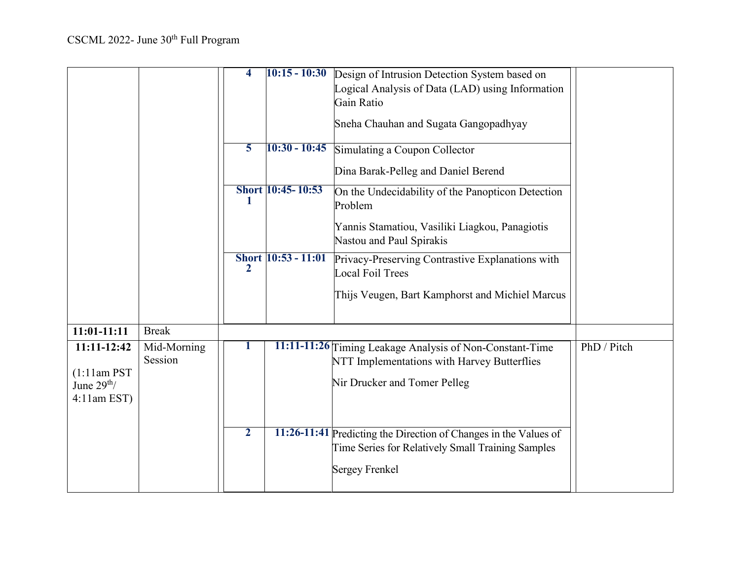|                                                               |                        | 4              | $10:15 - 10:30$     | Design of Intrusion Detection System based on<br>Logical Analysis of Data (LAD) using Information<br>Gain Ratio<br>Sneha Chauhan and Sugata Gangopadhyay |             |
|---------------------------------------------------------------|------------------------|----------------|---------------------|----------------------------------------------------------------------------------------------------------------------------------------------------------|-------------|
|                                                               |                        | 5              | $10:30 - 10:45$     | Simulating a Coupon Collector<br>Dina Barak-Pelleg and Daniel Berend                                                                                     |             |
|                                                               |                        | ı              | Short 10:45-10:53   | On the Undecidability of the Panopticon Detection<br>Problem                                                                                             |             |
|                                                               |                        |                |                     | Yannis Stamatiou, Vasiliki Liagkou, Panagiotis<br>Nastou and Paul Spirakis                                                                               |             |
|                                                               |                        | 2              | Short 10:53 - 11:01 | Privacy-Preserving Contrastive Explanations with<br>Local Foil Trees                                                                                     |             |
|                                                               |                        |                |                     | Thijs Veugen, Bart Kamphorst and Michiel Marcus                                                                                                          |             |
| $11:01-11:11$                                                 | <b>Break</b>           |                |                     |                                                                                                                                                          |             |
| 11:11-12:42<br>$(1:11am$ PST<br>June $29th$<br>$4:11$ am EST) | Mid-Morning<br>Session |                |                     | 11:11-11:26 Timing Leakage Analysis of Non-Constant-Time<br>NTT Implementations with Harvey Butterflies<br>Nir Drucker and Tomer Pelleg                  | PhD / Pitch |
|                                                               |                        | $\overline{2}$ |                     | 11:26-11:41 Predicting the Direction of Changes in the Values of<br>Time Series for Relatively Small Training Samples<br><b>Sergey Frenkel</b>           |             |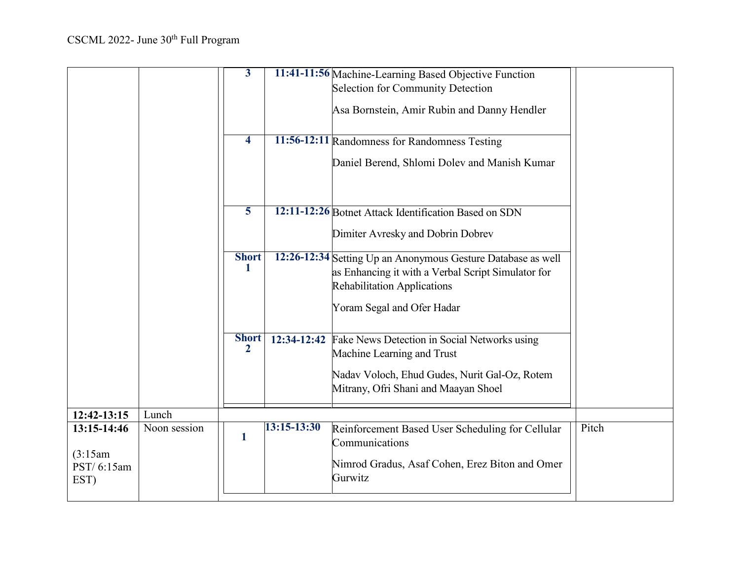|                                               |              | $\overline{\mathbf{3}}$      |             | 11:41-11:56 Machine-Learning Based Objective Function<br>Selection for Community Detection<br>Asa Bornstein, Amir Rubin and Danny Hendler                |       |
|-----------------------------------------------|--------------|------------------------------|-------------|----------------------------------------------------------------------------------------------------------------------------------------------------------|-------|
|                                               |              | $\overline{\mathbf{4}}$      |             | 11:56-12:11 Randomness for Randomness Testing                                                                                                            |       |
|                                               |              |                              |             | Daniel Berend, Shlomi Dolev and Manish Kumar                                                                                                             |       |
|                                               |              | 5                            |             | 12:11-12:26 Botnet Attack Identification Based on SDN<br>Dimiter Avresky and Dobrin Dobrev                                                               |       |
|                                               |              |                              |             |                                                                                                                                                          |       |
|                                               |              | <b>Short</b><br>-1           |             | 12:26-12:34 Setting Up an Anonymous Gesture Database as well<br>as Enhancing it with a Verbal Script Simulator for<br><b>Rehabilitation Applications</b> |       |
|                                               |              |                              |             | Yoram Segal and Ofer Hadar                                                                                                                               |       |
|                                               |              | <b>Short</b><br>$\mathbf{2}$ | 12:34-12:42 | Fake News Detection in Social Networks using<br>Machine Learning and Trust                                                                               |       |
|                                               |              |                              |             | Nadav Voloch, Ehud Gudes, Nurit Gal-Oz, Rotem<br>Mitrany, Ofri Shani and Maayan Shoel                                                                    |       |
| 12:42-13:15                                   | Lunch        |                              |             |                                                                                                                                                          |       |
| 13:15-14:46<br>(3:15am)<br>PST/6:15am<br>EST) | Noon session | 1                            | 13:15-13:30 | Reinforcement Based User Scheduling for Cellular<br>Communications<br>Nimrod Gradus, Asaf Cohen, Erez Biton and Omer<br>Gurwitz                          | Pitch |
|                                               |              |                              |             |                                                                                                                                                          |       |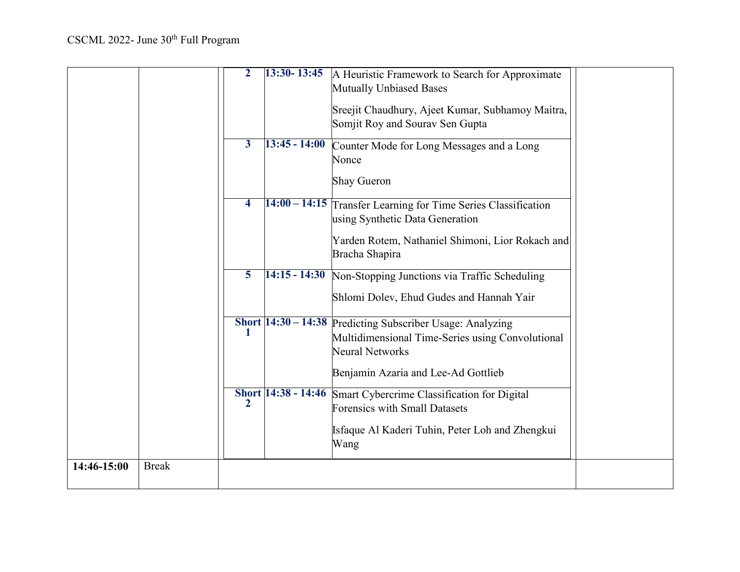|             |              | $\mathbf{2}$            | $13:30 - 13:45$            | A Heuristic Framework to Search for Approximate<br><b>Mutually Unbiased Bases</b>                             |  |
|-------------|--------------|-------------------------|----------------------------|---------------------------------------------------------------------------------------------------------------|--|
|             |              |                         |                            | Sreejit Chaudhury, Ajeet Kumar, Subhamoy Maitra,<br>Somjit Roy and Sourav Sen Gupta                           |  |
|             |              | 3                       | $13:45 - 14:00$            | Counter Mode for Long Messages and a Long<br>Nonce                                                            |  |
|             |              |                         |                            | <b>Shay Gueron</b>                                                                                            |  |
|             |              | $\overline{4}$          |                            | 14:00 - 14:15 Transfer Learning for Time Series Classification<br>using Synthetic Data Generation             |  |
|             |              |                         |                            | Yarden Rotem, Nathaniel Shimoni, Lior Rokach and<br>Bracha Shapira                                            |  |
|             |              | $\overline{\mathbf{5}}$ | $14:15 - 14:30$            | Non-Stopping Junctions via Traffic Scheduling                                                                 |  |
|             |              |                         |                            | Shlomi Dolev, Ehud Gudes and Hannah Yair                                                                      |  |
|             |              |                         | Short $14:30 - 14:38$      | Predicting Subscriber Usage: Analyzing<br>Multidimensional Time-Series using Convolutional<br>Neural Networks |  |
|             |              |                         |                            | Benjamin Azaria and Lee-Ad Gottlieb                                                                           |  |
|             |              | $\mathbf{2}$            | <b>Short 14:38 - 14:46</b> | Smart Cybercrime Classification for Digital<br><b>Forensics with Small Datasets</b>                           |  |
|             |              |                         |                            | Isfaque Al Kaderi Tuhin, Peter Loh and Zhengkui<br>Wang                                                       |  |
| 14:46-15:00 | <b>Break</b> |                         |                            |                                                                                                               |  |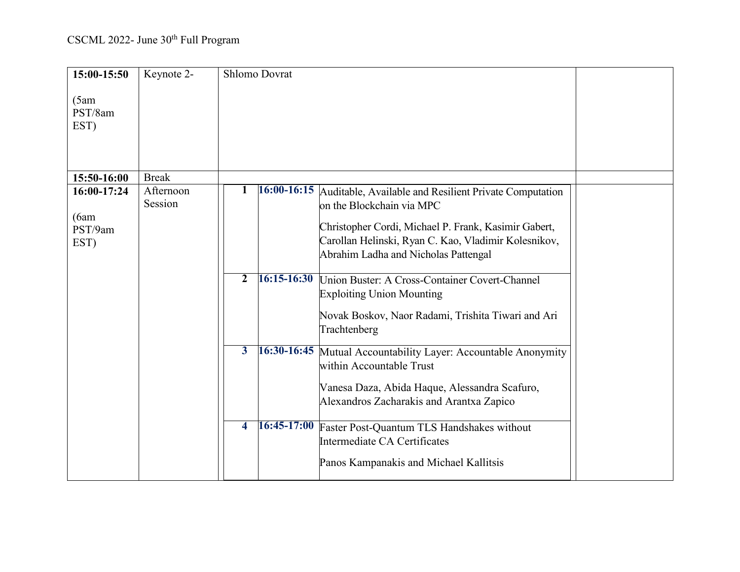| 15:00-15:50                             | Keynote 2-           | <b>Shlomo Dovrat</b>                                                                                                                                                                                                                                                                                                                                                                                                                                                                                                                                                                                                                                                                                                                                   |  |
|-----------------------------------------|----------------------|--------------------------------------------------------------------------------------------------------------------------------------------------------------------------------------------------------------------------------------------------------------------------------------------------------------------------------------------------------------------------------------------------------------------------------------------------------------------------------------------------------------------------------------------------------------------------------------------------------------------------------------------------------------------------------------------------------------------------------------------------------|--|
| (5am)<br>PST/8am<br>EST)                |                      |                                                                                                                                                                                                                                                                                                                                                                                                                                                                                                                                                                                                                                                                                                                                                        |  |
| 15:50-16:00                             | <b>Break</b>         |                                                                                                                                                                                                                                                                                                                                                                                                                                                                                                                                                                                                                                                                                                                                                        |  |
| 16:00-17:24<br>(6am)<br>PST/9am<br>EST) | Afternoon<br>Session | 16:00-16:15 Auditable, Available and Resilient Private Computation<br>on the Blockchain via MPC<br>Christopher Cordi, Michael P. Frank, Kasimir Gabert,<br>Carollan Helinski, Ryan C. Kao, Vladimir Kolesnikov,<br>Abrahim Ladha and Nicholas Pattengal<br>16:15-16:30 Union Buster: A Cross-Container Covert-Channel<br>$\overline{2}$<br><b>Exploiting Union Mounting</b><br>Novak Boskov, Naor Radami, Trishita Tiwari and Ari<br>Trachtenberg<br>16:30-16:45 Mutual Accountability Layer: Accountable Anonymity<br>$\mathbf{3}$<br>within Accountable Trust<br>Vanesa Daza, Abida Haque, Alessandra Scafuro,<br>Alexandros Zacharakis and Arantxa Zapico<br>$16:45-17:00$<br>$\overline{\mathbf{4}}$<br>Faster Post-Quantum TLS Handshakes without |  |
|                                         |                      | Intermediate CA Certificates<br>Panos Kampanakis and Michael Kallitsis                                                                                                                                                                                                                                                                                                                                                                                                                                                                                                                                                                                                                                                                                 |  |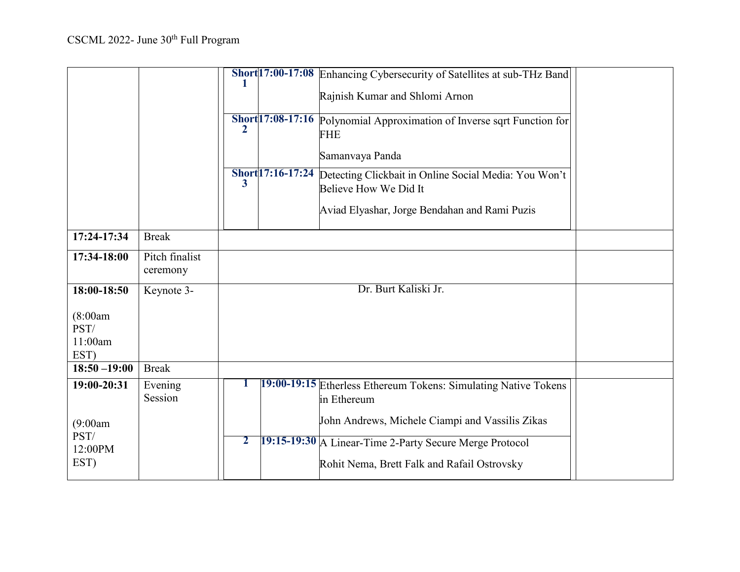|                                     |                            |              |                  | Short 17:00-17:08 Enhancing Cybersecurity of Satellites at sub-THz Band<br>Rajnish Kumar and Shlomi Arnon           |  |
|-------------------------------------|----------------------------|--------------|------------------|---------------------------------------------------------------------------------------------------------------------|--|
|                                     |                            | 2            |                  | Short <sup>17:08-17:16</sup> Polynomial Approximation of Inverse sqrt Function for<br><b>FHE</b><br>Samanvaya Panda |  |
|                                     |                            | 3            | Short17:16-17:24 | Detecting Clickbait in Online Social Media: You Won't<br>Believe How We Did It                                      |  |
|                                     |                            |              |                  | Aviad Elyashar, Jorge Bendahan and Rami Puzis                                                                       |  |
| 17:24-17:34                         | <b>Break</b>               |              |                  |                                                                                                                     |  |
| 17:34-18:00                         | Pitch finalist<br>ceremony |              |                  |                                                                                                                     |  |
| 18:00-18:50                         | Keynote 3-                 |              |                  | Dr. Burt Kaliski Jr.                                                                                                |  |
| (8:00am)<br>PST/<br>11:00am<br>EST) |                            |              |                  |                                                                                                                     |  |
| $18:50 - 19:00$                     | <b>Break</b>               |              |                  |                                                                                                                     |  |
| 19:00-20:31                         | Evening<br>Session         |              |                  | 19:00-19:15 Etherless Ethereum Tokens: Simulating Native Tokens<br>in Ethereum                                      |  |
| (9:00am)                            |                            |              |                  | John Andrews, Michele Ciampi and Vassilis Zikas                                                                     |  |
| PST/<br>12:00PM<br>EST)             |                            | $\mathbf{2}$ |                  | 19:15-19:30 A Linear-Time 2-Party Secure Merge Protocol<br>Rohit Nema, Brett Falk and Rafail Ostrovsky              |  |